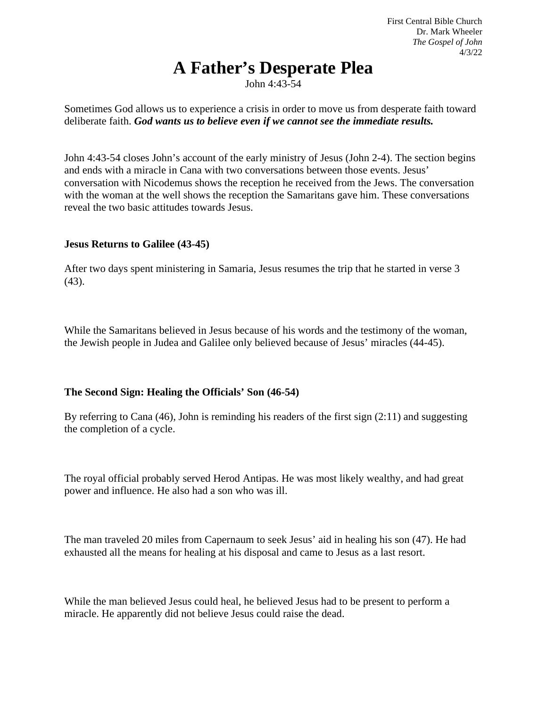## **A Father's Desperate Plea**

John 4:43-54

Sometimes God allows us to experience a crisis in order to move us from desperate faith toward deliberate faith. *God wants us to believe even if we cannot see the immediate results.*

John 4:43-54 closes John's account of the early ministry of Jesus (John 2-4). The section begins and ends with a miracle in Cana with two conversations between those events. Jesus' conversation with Nicodemus shows the reception he received from the Jews. The conversation with the woman at the well shows the reception the Samaritans gave him. These conversations reveal the two basic attitudes towards Jesus.

## **Jesus Returns to Galilee (43-45)**

After two days spent ministering in Samaria, Jesus resumes the trip that he started in verse 3 (43).

While the Samaritans believed in Jesus because of his words and the testimony of the woman, the Jewish people in Judea and Galilee only believed because of Jesus' miracles (44-45).

## **The Second Sign: Healing the Officials' Son (46-54)**

By referring to Cana (46), John is reminding his readers of the first sign (2:11) and suggesting the completion of a cycle.

The royal official probably served Herod Antipas. He was most likely wealthy, and had great power and influence. He also had a son who was ill.

The man traveled 20 miles from Capernaum to seek Jesus' aid in healing his son (47). He had exhausted all the means for healing at his disposal and came to Jesus as a last resort.

While the man believed Jesus could heal, he believed Jesus had to be present to perform a miracle. He apparently did not believe Jesus could raise the dead.